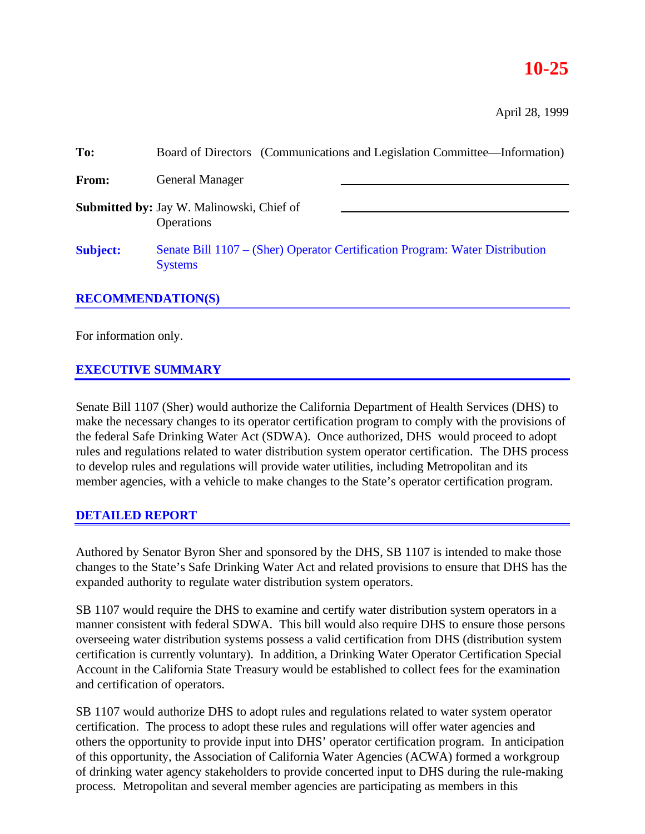# **10-25**

April 28, 1999

| To:                      | Board of Directors (Communications and Legislation Committee—Information)                      |  |
|--------------------------|------------------------------------------------------------------------------------------------|--|
| From:                    | <b>General Manager</b>                                                                         |  |
|                          | <b>Submitted by:</b> Jay W. Malinowski, Chief of<br><b>Operations</b>                          |  |
| <b>Subject:</b>          | Senate Bill 1107 – (Sher) Operator Certification Program: Water Distribution<br><b>Systems</b> |  |
| <b>RECOMMENDATION(S)</b> |                                                                                                |  |

For information only.

## **EXECUTIVE SUMMARY**

Senate Bill 1107 (Sher) would authorize the California Department of Health Services (DHS) to make the necessary changes to its operator certification program to comply with the provisions of the federal Safe Drinking Water Act (SDWA). Once authorized, DHS would proceed to adopt rules and regulations related to water distribution system operator certification. The DHS process to develop rules and regulations will provide water utilities, including Metropolitan and its member agencies, with a vehicle to make changes to the State's operator certification program.

## **DETAILED REPORT**

Authored by Senator Byron Sher and sponsored by the DHS, SB 1107 is intended to make those changes to the State's Safe Drinking Water Act and related provisions to ensure that DHS has the expanded authority to regulate water distribution system operators.

SB 1107 would require the DHS to examine and certify water distribution system operators in a manner consistent with federal SDWA. This bill would also require DHS to ensure those persons overseeing water distribution systems possess a valid certification from DHS (distribution system certification is currently voluntary). In addition, a Drinking Water Operator Certification Special Account in the California State Treasury would be established to collect fees for the examination and certification of operators.

SB 1107 would authorize DHS to adopt rules and regulations related to water system operator certification. The process to adopt these rules and regulations will offer water agencies and others the opportunity to provide input into DHS' operator certification program. In anticipation of this opportunity, the Association of California Water Agencies (ACWA) formed a workgroup of drinking water agency stakeholders to provide concerted input to DHS during the rule-making process. Metropolitan and several member agencies are participating as members in this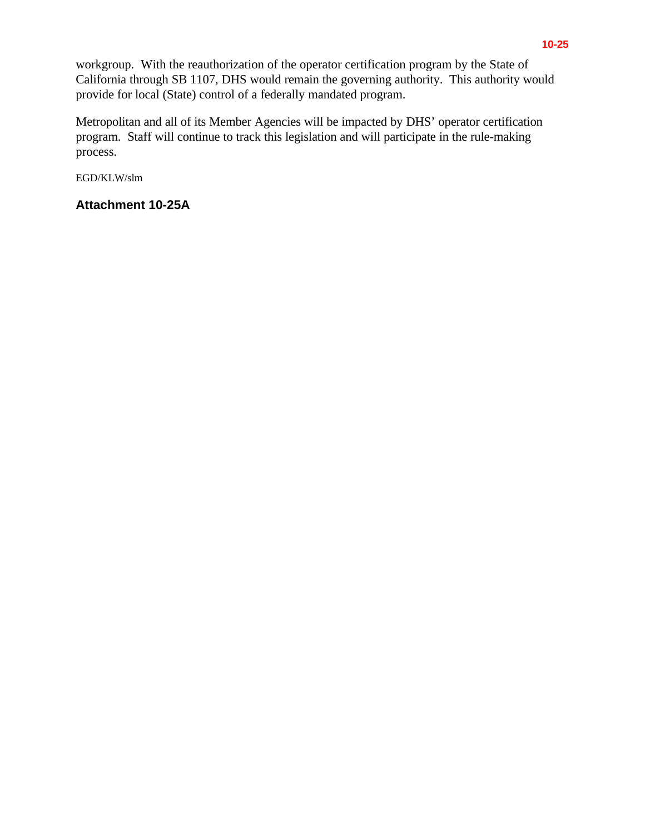workgroup. With the reauthorization of the operator certification program by the State of California through SB 1107, DHS would remain the governing authority. This authority would provide for local (State) control of a federally mandated program.

Metropolitan and all of its Member Agencies will be impacted by DHS' operator certification program. Staff will continue to track this legislation and will participate in the rule-making process.

EGD/KLW/slm

# **Attachment 10-25A**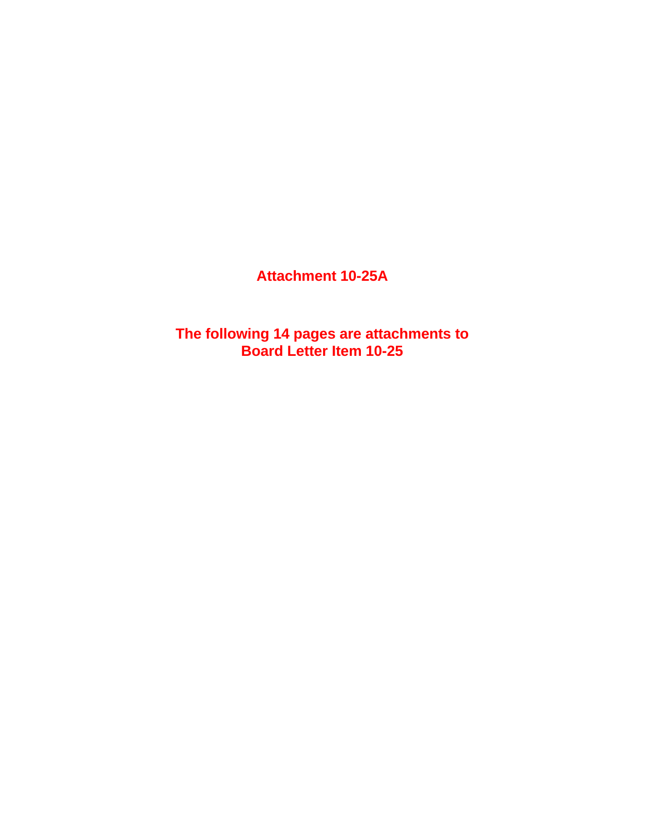**Attachment 10-25A**

**The following 14 pages are attachments to Board Letter Item 10-25**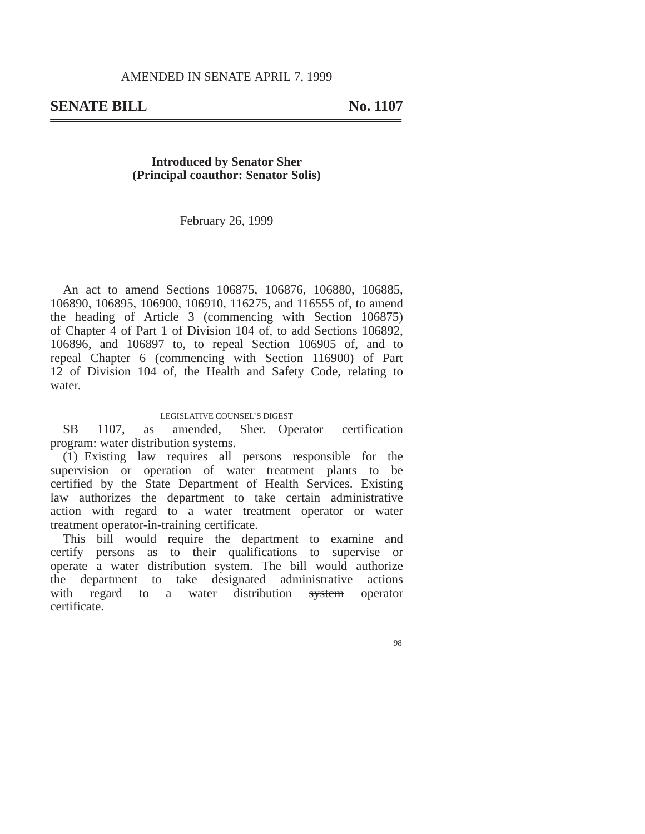### **Introduced by Senator Sher (Principal coauthor: Senator Solis)**

February 26, 1999

An act to amend Sections 106875, 106876, 106880, 106885, 106890, 106895, 106900, 106910, 116275, and 116555 of, to amend the heading of Article 3 (commencing with Section 106875) of Chapter 4 of Part 1 of Division 104 of, to add Sections 106892, 106896, and 106897 to, to repeal Section 106905 of, and to repeal Chapter 6 (commencing with Section 116900) of Part 12 of Division 104 of, the Health and Safety Code, relating to water.

#### LEGISLATIVE COUNSEL'S DIGEST

SB 1107, as amended, Sher. Operator certification program: water distribution systems.

(1) Existing law requires all persons responsible for the supervision or operation of water treatment plants to be certified by the State Department of Health Services. Existing law authorizes the department to take certain administrative action with regard to a water treatment operator or water treatment operator-in-training certificate.

This bill would require the department to examine and certify persons as to their qualifications to supervise or operate a water distribution system. The bill would authorize the department to take designated administrative actions with regard to a water distribution system operator certificate.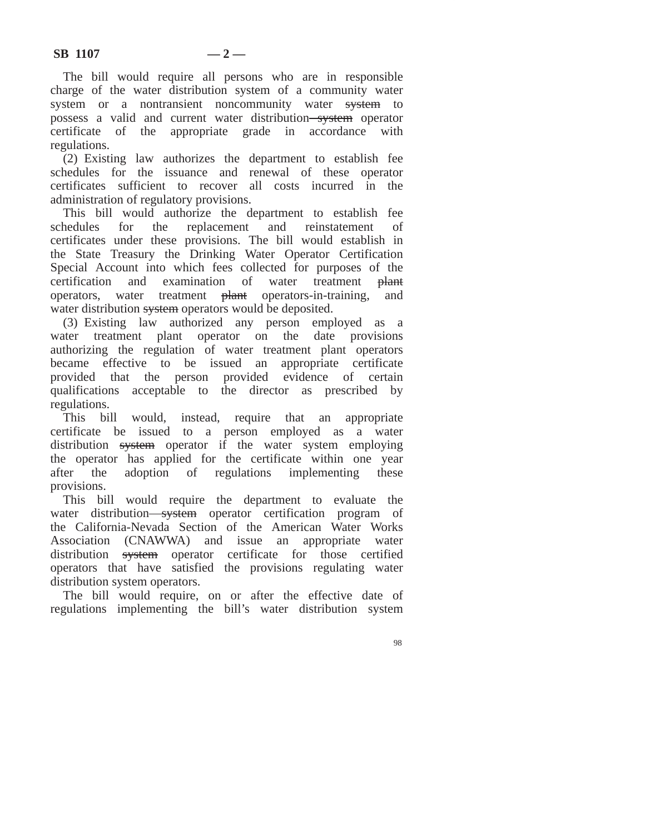The bill would require all persons who are in responsible charge of the water distribution system of a community water system or a nontransient noncommunity water system to possess a valid and current water distribution-system operator certificate of the appropriate grade in accordance with regulations.

(2) Existing law authorizes the department to establish fee schedules for the issuance and renewal of these operator certificates sufficient to recover all costs incurred in the administration of regulatory provisions.

This bill would authorize the department to establish fee schedules for the replacement and reinstatement of certificates under these provisions. The bill would establish in the State Treasury the Drinking Water Operator Certification Special Account into which fees collected for purposes of the certification and examination of water treatment plant operators, water treatment plant operators-in-training, and water distribution system operators would be deposited.

(3) Existing law authorized any person employed as a water treatment plant operator on the date provisions authorizing the regulation of water treatment plant operators became effective to be issued an appropriate certificate provided that the person provided evidence of certain qualifications acceptable to the director as prescribed by regulations.

This bill would, instead, require that an appropriate certificate be issued to a person employed as a water distribution system operator if the water system employing the operator has applied for the certificate within one year after the adoption of regulations implementing these provisions.

This bill would require the department to evaluate the water distribution-system operator certification program of the California-Nevada Section of the American Water Works Association (CNAWWA) and issue an appropriate water distribution system operator certificate for those certified operators that have satisfied the provisions regulating water distribution system operators.

The bill would require, on or after the effective date of regulations implementing the bill's water distribution system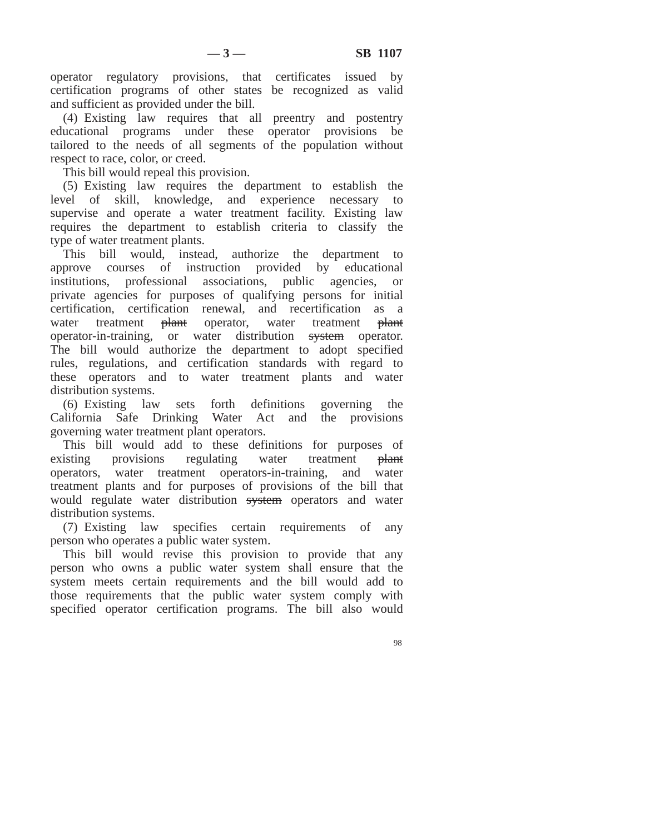operator regulatory provisions, that certificates issued by certification programs of other states be recognized as valid and sufficient as provided under the bill.

(4) Existing law requires that all preentry and postentry educational programs under these operator provisions be tailored to the needs of all segments of the population without respect to race, color, or creed.

This bill would repeal this provision.

(5) Existing law requires the department to establish the level of skill, knowledge, and experience necessary to supervise and operate a water treatment facility. Existing law requires the department to establish criteria to classify the type of water treatment plants.

This bill would, instead, authorize the department to approve courses of instruction provided by educational institutions, professional associations, public agencies, or private agencies for purposes of qualifying persons for initial certification, certification renewal, and recertification as a water treatment <del>plant</del> operator, water treatment plant operator-in-training, or water distribution system operator. The bill would authorize the department to adopt specified rules, regulations, and certification standards with regard to these operators and to water treatment plants and water distribution systems.

(6) Existing law sets forth definitions governing the California Safe Drinking Water Act and the provisions governing water treatment plant operators.

This bill would add to these definitions for purposes of existing provisions regulating water treatment plant operators, water treatment operators-in-training, and water treatment plants and for purposes of provisions of the bill that would regulate water distribution system operators and water distribution systems.

(7) Existing law specifies certain requirements of any person who operates a public water system.

This bill would revise this provision to provide that any person who owns a public water system shall ensure that the system meets certain requirements and the bill would add to those requirements that the public water system comply with specified operator certification programs. The bill also would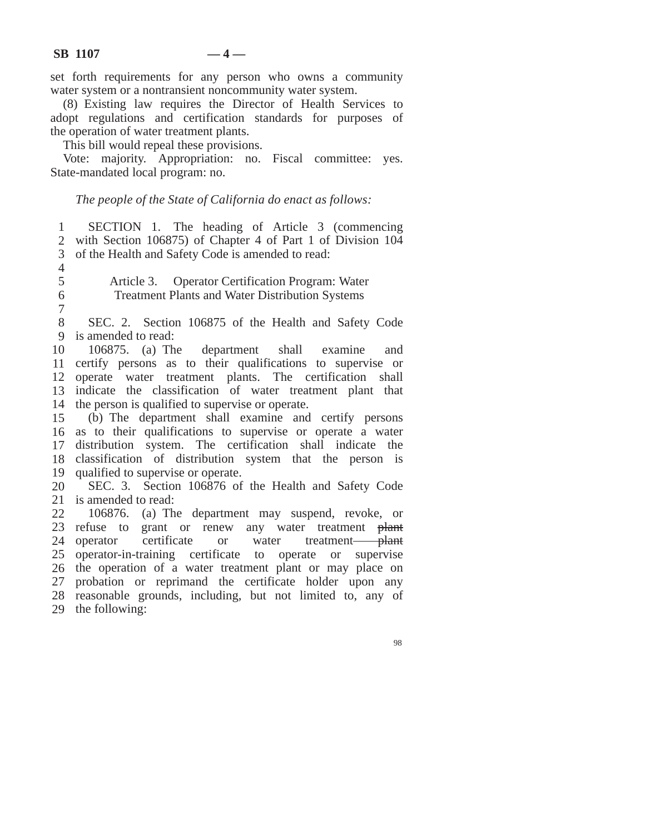set forth requirements for any person who owns a community water system or a nontransient noncommunity water system.

(8) Existing law requires the Director of Health Services to adopt regulations and certification standards for purposes of the operation of water treatment plants.

This bill would repeal these provisions.

Vote: majority. Appropriation: no. Fiscal committee: yes. State-mandated local program: no.

*The people of the State of California do enact as follows:*

1 2 3 of the Health and Safety Code is amended to read: SECTION 1. The heading of Article 3 (commencing with Section 106875) of Chapter 4 of Part 1 of Division 104

4

5 6

7

Article 3. Operator Certification Program: Water Treatment Plants and Water Distribution Systems

8 9 is amended to read: SEC. 2. Section 106875 of the Health and Safety Code

10 certify persons as to their qualifications to supervise or operate water treatment plants. The certification shall indicate the classification of water treatment plant that the person is qualified to supervise or operate. 106875. (a) The department shall examine and

15 as to their qualifications to supervise or operate a water distribution system. The certification shall indicate the classification of distribution system that the person is qualified to supervise or operate. (b) The department shall examine and certify persons

20 21 is amended to read: SEC. 3. Section 106876 of the Health and Safety Code

22 23 refuse to grant or renew any water treatment plant 24 operator 25 operator-in-training certificate to operate or supervise 26 the operation of a water treatment plant or may place on 27 probation or reprimand the certificate holder upon any 28 reasonable grounds, including, but not limited to, any of 29 the following:106876. (a) The department may suspend, revoke, or certificate or water treatment-plant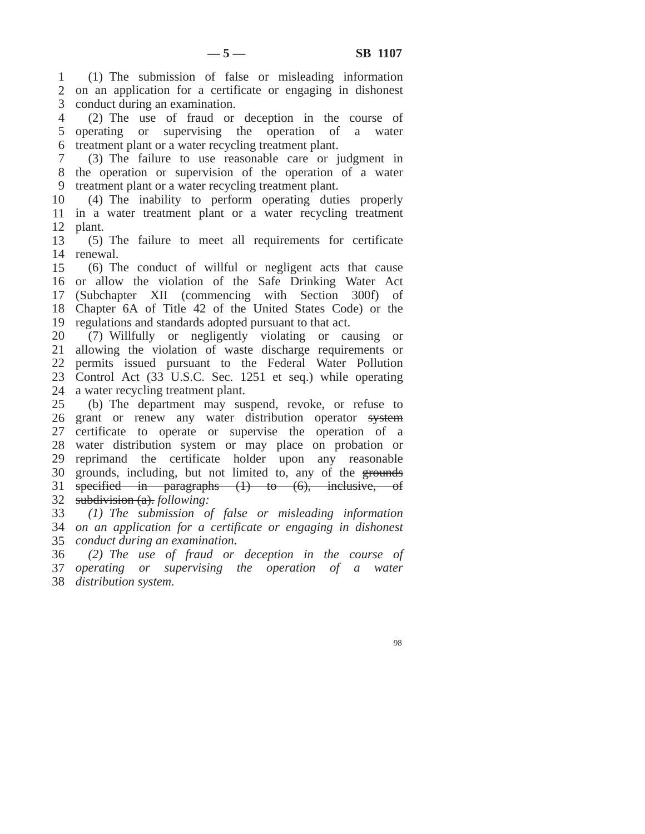on an application for a certificate or engaging in dishonest (1) The submission of false or misleading information conduct during an examination.

 operating or supervising the operation of a water treatment plant or a water recycling treatment plant. (2) The use of fraud or deception in the course of

 the operation or supervision of the operation of a water (3) The failure to use reasonable care or judgment in treatment plant or a water recycling treatment plant.

 in a water treatment plant or a water recycling treatment plant. (4) The inability to perform operating duties properly

 renewal. (5) The failure to meet all requirements for certificate

 or allow the violation of the Safe Drinking Water Act Chapter 6A of Title 42 of the United States Code) or the regulations and standards adopted pursuant to that act. (6) The conduct of willful or negligent acts that cause (Subchapter XII (commencing with Section 300f) of

 allowing the violation of waste discharge requirements or Control Act (33 U.S.C. Sec. 1251 et seq.) while operating a water recycling treatment plant. (7) Willfully or negligently violating or causing or permits issued pursuant to the Federal Water Pollution

 26 grant or renew any water distribution operator system certificate to operate or supervise the operation of a water distribution system or may place on probation or reprimand the certificate holder upon any reasonable 30 grounds, including, but not limited to, any of the grounds specified in paragraphs (1) to (6), inclusive, of subdivision (a). *following:* (b) The department may suspend, revoke, or refuse to

 *on an application for a certificate or engaging in dishonest conduct during an examination. (1) The submission of false or misleading information*

 *operating or supervising the operation of a water distribution system.(2) The use of fraud or deception in the course of*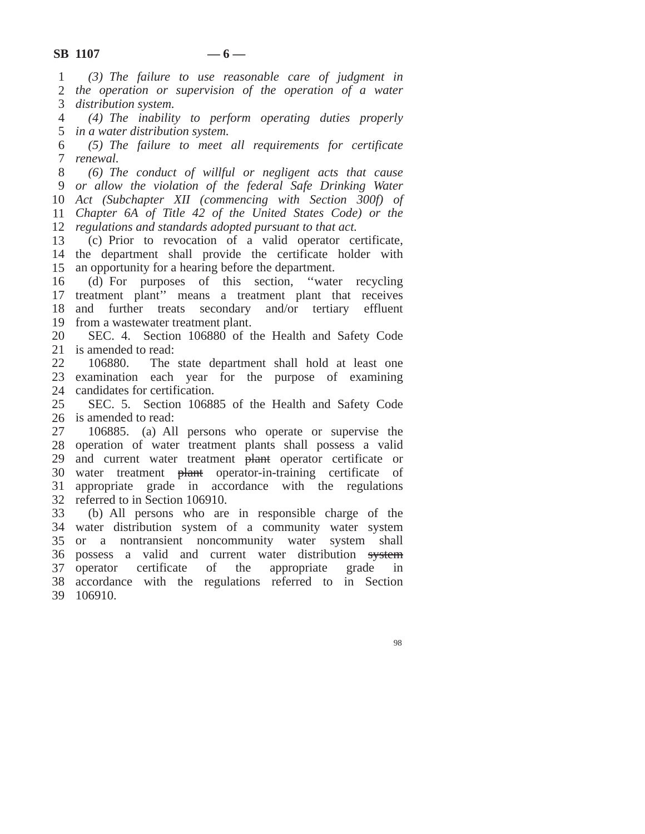*the operation or supervision of the operation of a water (3) The failure to use reasonable care of judgment in distribution system.*

 *in a water distribution system. (4) The inability to perform operating duties properly*

 *renewal. (5) The failure to meet all requirements for certificate*

 *or allow the violation of the federal Safe Drinking Water Act (Subchapter XII (commencing with Section 300f) of Chapter 6A of Title 42 of the United States Code) or the regulations and standards adopted pursuant to that act. (6) The conduct of willful or negligent acts that cause*

 the department shall provide the certificate holder with an opportunity for a hearing before the department. (c) Prior to revocation of a valid operator certificate,

 treatment plant'' means a treatment plant that receives and further treats secondary and/or tertiary effluent from a wastewater treatment plant. (d) For purposes of this section, ''water recycling

 is amended to read: SEC. 4. Section 106880 of the Health and Safety Code

 examination each year for the purpose of examining candidates for certification. 106880. The state department shall hold at least one

 is amended to read: SEC. 5. Section 106885 of the Health and Safety Code

 operation of water treatment plants shall possess a valid 29 and current water treatment plant operator certificate or 30 water treatment <del>plant</del> operator-in-training certificate of appropriate grade in accordance with the regulations referred to in Section 106910. 106885. (a) All persons who operate or supervise the

 water distribution system of a community water system or a nontransient noncommunity water system shall 36 possess a valid and current water distribution system operator certificate of the appropriate grade in accordance with the regulations referred to in Section 106910.(b) All persons who are in responsible charge of the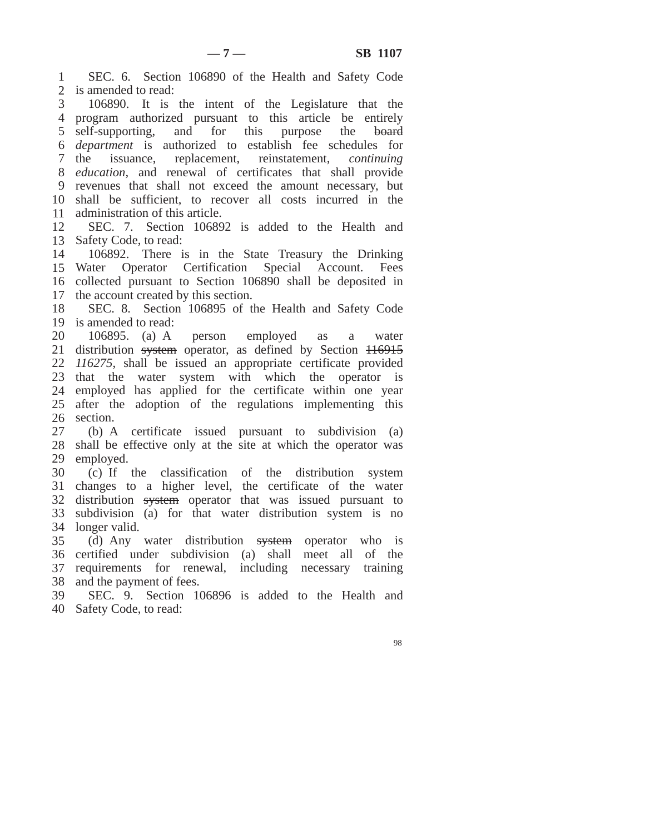is amended to read: program authorized pursuant to this article be entirely 5 self-supporting, and for this purpose the board *department* is authorized to establish fee schedules for 7 the *education,* and renewal of certificates that shall provide revenues that shall not exceed the amount necessary, but shall be sufficient, to recover all costs incurred in the administration of this article. Safety Code, to read: Water Operator Certification Special Account. Fees collected pursuant to Section 106890 shall be deposited in the account created by this section. is amended to read: 21 distribution system operator, as defined by Section *116275*, shall be issued an appropriate certificate provided that the water system with which the operator is employed has applied for the certificate within one year after the adoption of the regulations implementing this shall be effective only at the site at which the operator was employed. changes to a higher level, the certificate of the water 32 distribution system operator that was issued pursuant to subdivision (a) for that water distribution system is no longer valid. certified under subdivision (a) shall meet all of the requirements for renewal, including necessary training and the payment of fees. Safety Code, to read:SEC. 6. Section 106890 of the Health and Safety Code 106890. It is the intent of the Legislature that the issuance, replacement, reinstatement, *continuing* SEC. 7. Section 106892 is added to the Health and 106892. There is in the State Treasury the Drinking SEC. 8. Section 106895 of the Health and Safety Code 106895. (a) A person employed as a water section. (b) A certificate issued pursuant to subdivision (a) (c) If the classification of the distribution system (d) Any water distribution system operator who is SEC. 9. Section 106896 is added to the Health and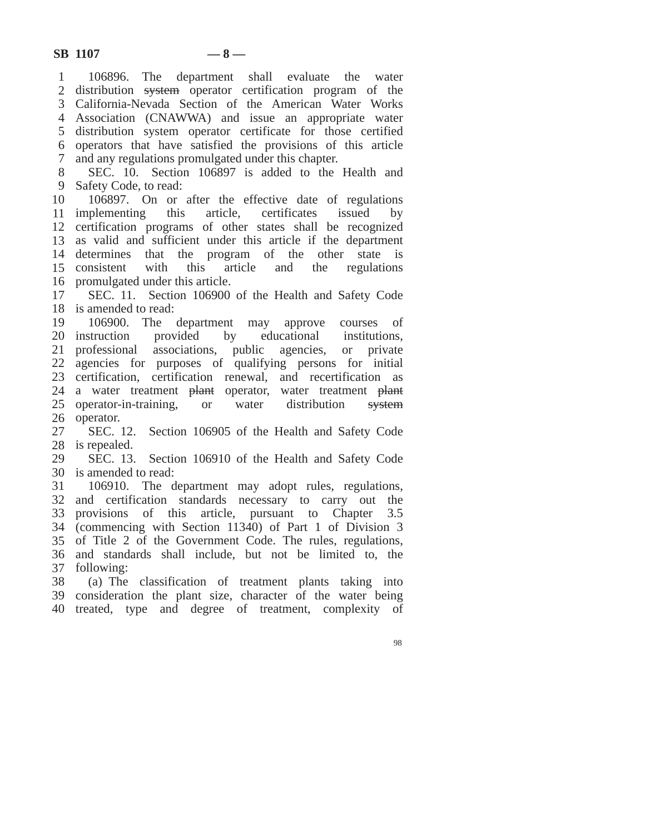2 distribution system operator certification program of the California-Nevada Section of the American Water Works Association (CNAWWA) and issue an appropriate water distribution system operator certificate for those certified operators that have satisfied the provisions of this article Safety Code, to read: implementing this article, certificates issued by certification programs of other states shall be recognized as valid and sufficient under this article if the department determines that the program of the other state is 15 consistent promulgated under this article. is amended to read: 20 instruction professional associations, public agencies, or private agencies for purposes of qualifying persons for initial certification, certification renewal, and recertification as 24 a water treatment <del>plant</del> operator, water treatment <del>plant</del> 25 operator-in-training, or water distribution system is repealed. is amended to read: and certification standards necessary to carry out the provisions of this article, pursuant to Chapter 3.5 (commencing with Section 11340) of Part 1 of Division 3 of Title 2 of the Government Code. The rules, regulations, and standards shall include, but not be limited to, the following: consideration the plant size, character of the water being treated, type and degree of treatment, complexity of106896. The department shall evaluate the water and any regulations promulgated under this chapter. SEC. 10. Section 106897 is added to the Health and 106897. On or after the effective date of regulations with this article and the regulations SEC. 11. Section 106900 of the Health and Safety Code 106900. The department may approve courses of provided by educational institutions, operator. SEC. 12. Section 106905 of the Health and Safety Code SEC. 13. Section 106910 of the Health and Safety Code 106910. The department may adopt rules, regulations, (a) The classification of treatment plants taking into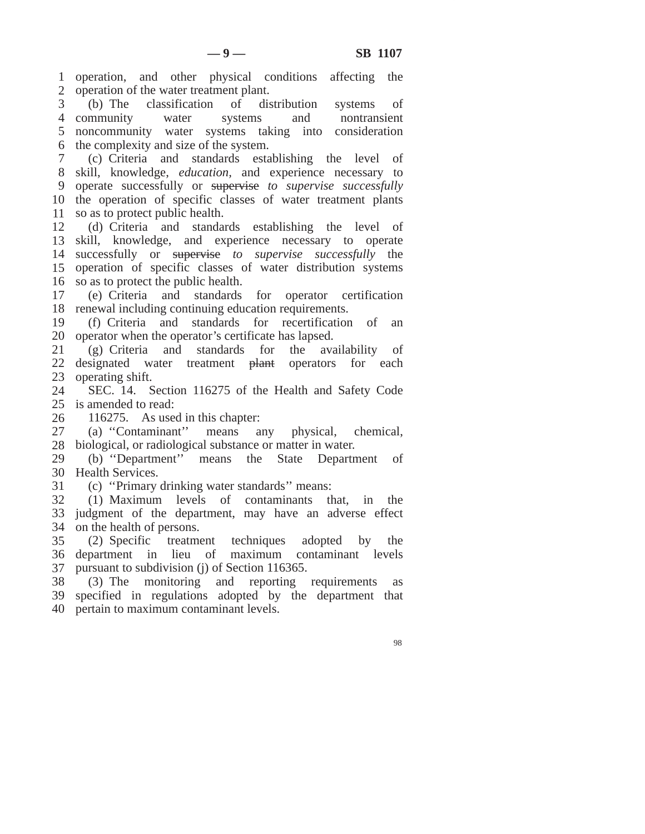operation, and other physical conditions affecting the operation of the water treatment plant.

 community water systems and nontransient noncommunity water systems taking into consideration the complexity and size of the system. (b) The classification of distribution systems of

 skill, knowledge, *education,* and experience necessary to the operation of specific classes of water treatment plants so as to protect public health. (c) Criteria and standards establishing the level of operate successfully or supervise *to supervise successfully*

 skill, knowledge, and experience necessary to operate successfully or supervise *to supervise successfully* the operation of specific classes of water distribution systems so as to protect the public health. (d) Criteria and standards establishing the level of

 renewal including continuing education requirements. (e) Criteria and standards for operator certification

 operator when the operator's certificate has lapsed. (f) Criteria and standards for recertification of an

 22 designated water treatment <del>plant</del> operators for each operating shift. (g) Criteria and standards for the availability of

 is amended to read: SEC. 14. Section 116275 of the Health and Safety Code

 116275. As used in this chapter:

 biological, or radiological substance or matter in water. (a) ''Contaminant'' means any physical, chemical,

 Health Services. (b) ''Department'' means the State Department of

 (c) ''Primary drinking water standards'' means:

 judgment of the department, may have an adverse effect on the health of persons. (1) Maximum levels of contaminants that, in the

 department in lieu of maximum contaminant levels pursuant to subdivision (j) of Section 116365. (2) Specific treatment techniques adopted by the

 specified in regulations adopted by the department that pertain to maximum contaminant levels.(3) The monitoring and reporting requirements as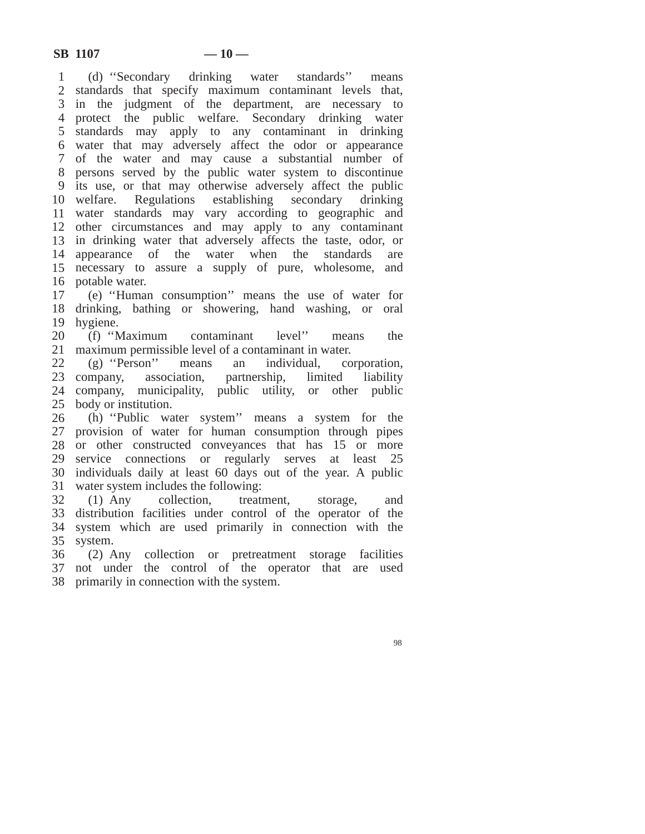(d) ''Secondary drinking water standards'' means standards that specify maximum contaminant levels that, standards may apply to any contaminant in drinking water that may adversely affect the odor or appearance of the water and may cause a substantial number of persons served by the public water system to discontinue its use, or that may otherwise adversely affect the public welfare. Regulations establishing secondary drinking water standards may vary according to geographic and other circumstances and may apply to any contaminant in drinking water that adversely affects the taste, odor, or appearance of the water when the standards are necessary to assure a supply of pure, wholesome, and potable water. in the judgment of the department, are necessary to protect the public welfare. Secondary drinking water

 drinking, bathing or showering, hand washing, or oral hygiene. (e) ''Human consumption'' means the use of water for

20 (f) "Maximum maximum permissible level of a contaminant in water. contaminant level" means the

 23 company, company, municipality, public utility, or other public body or institution. (g) ''Person'' means an individual, corporation, association, partnership, limited liability

 provision of water for human consumption through pipes or other constructed conveyances that has 15 or more service connections or regularly serves at least 25 individuals daily at least 60 days out of the year. A public water system includes the following: (h) ''Public water system'' means a system for the

32 (1) Any distribution facilities under control of the operator of the system which are used primarily in connection with the system. collection, treatment, storage, and

 not under the control of the operator that are used primarily in connection with the system.(2) Any collection or pretreatment storage facilities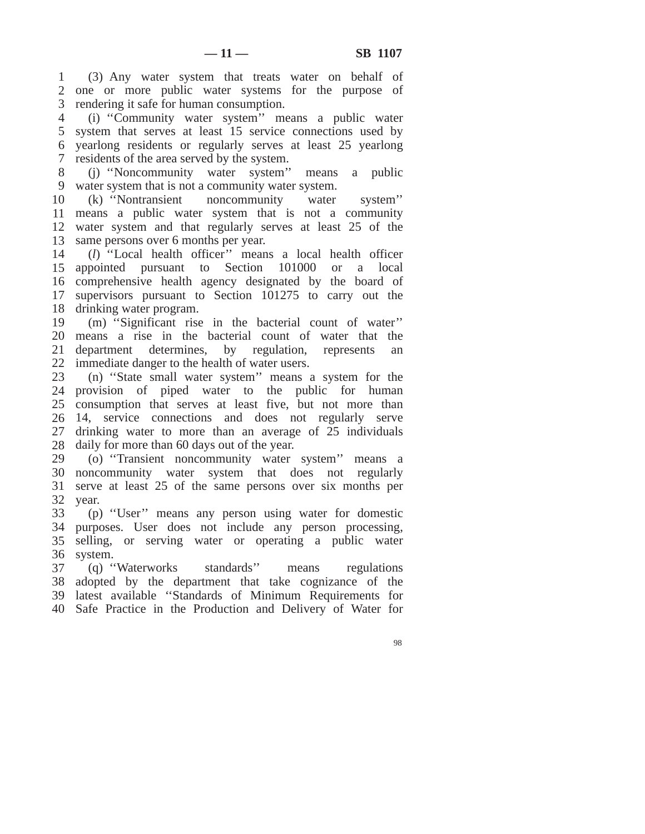one or more public water systems for the purpose of rendering it safe for human consumption. (3) Any water system that treats water on behalf of

 system that serves at least 15 service connections used by residents of the area served by the system. (i) ''Community water system'' means a public water yearlong residents or regularly serves at least 25 yearlong

 water system that is not a community water system. (j) ''Noncommunity water system'' means a public

 means a public water system that is not a community water system and that regularly serves at least 25 of the same persons over 6 months per year. (k) ''Nontransient noncommunity water system''

 appointed pursuant to Section 101000 or a local comprehensive health agency designated by the board of drinking water program. (*l*) ''Local health officer'' means a local health officer supervisors pursuant to Section 101275 to carry out the

 means a rise in the bacterial count of water that the department determines, by regulation, represents an immediate danger to the health of water users. (m) ''Significant rise in the bacterial count of water''

 provision of piped water to the public for human consumption that serves at least five, but not more than 14, service connections and does not regularly serve drinking water to more than an average of 25 individuals daily for more than 60 days out of the year. (n) ''State small water system'' means a system for the

 noncommunity water system that does not regularly serve at least 25 of the same persons over six months per year. (o) ''Transient noncommunity water system'' means a

 purposes. User does not include any person processing, selling, or serving water or operating a public water system. (p) ''User'' means any person using water for domestic

 adopted by the department that take cognizance of the (q) ''Waterworks standards'' means regulations latest available ''Standards of Minimum Requirements for Safe Practice in the Production and Delivery of Water for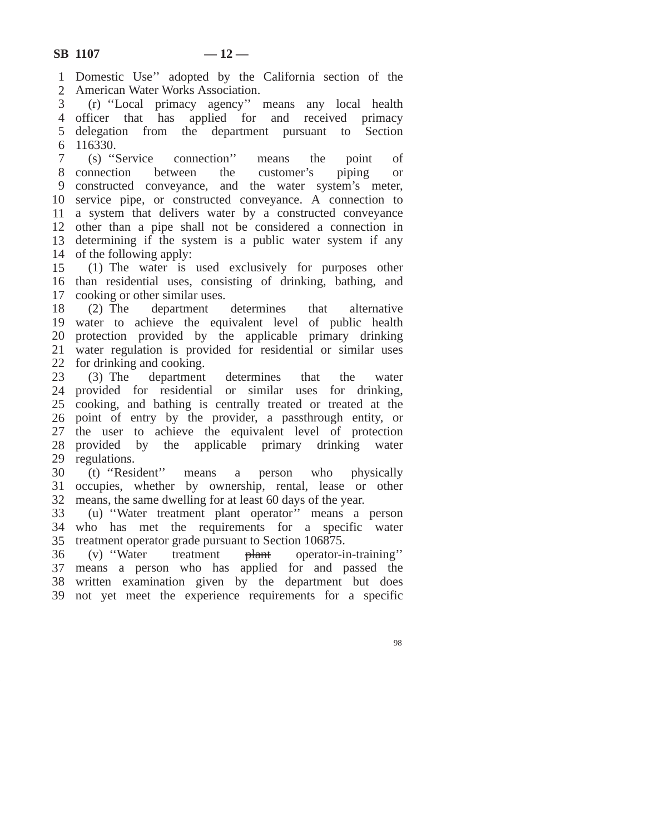Domestic Use'' adopted by the California section of the American Water Works Association.

 officer that has applied for and received primacy delegation from the department pursuant to Section 116330. (r) ''Local primacy agency'' means any local health

 (s) ''Service connection'' means the point of 8 connection constructed conveyance, and the water system's meter, service pipe, or constructed conveyance. A connection to a system that delivers water by a constructed conveyance other than a pipe shall not be considered a connection in determining if the system is a public water system if any of the following apply: between the customer's piping or

 than residential uses, consisting of drinking, bathing, and cooking or other similar uses. (1) The water is used exclusively for purposes other

 water to achieve the equivalent level of public health protection provided by the applicable primary drinking water regulation is provided for residential or similar uses for drinking and cooking. (2) The department determines that alternative

 provided for residential or similar uses for drinking, cooking, and bathing is centrally treated or treated at the point of entry by the provider, a passthrough entity, or the user to achieve the equivalent level of protection provided by the applicable primary drinking water regulations. (3) The department determines that the water

 occupies, whether by ownership, rental, lease or other means, the same dwelling for at least 60 days of the year. (t) ''Resident'' means a person who physically

 who has met the requirements for a specific water treatment operator grade pursuant to Section 106875. (u) "Water treatment plant operator" means a person

 means a person who has applied for and passed the written examination given by the department but does not yet meet the experience requirements for a specific(v) ''Water treatment plant operator-in-training''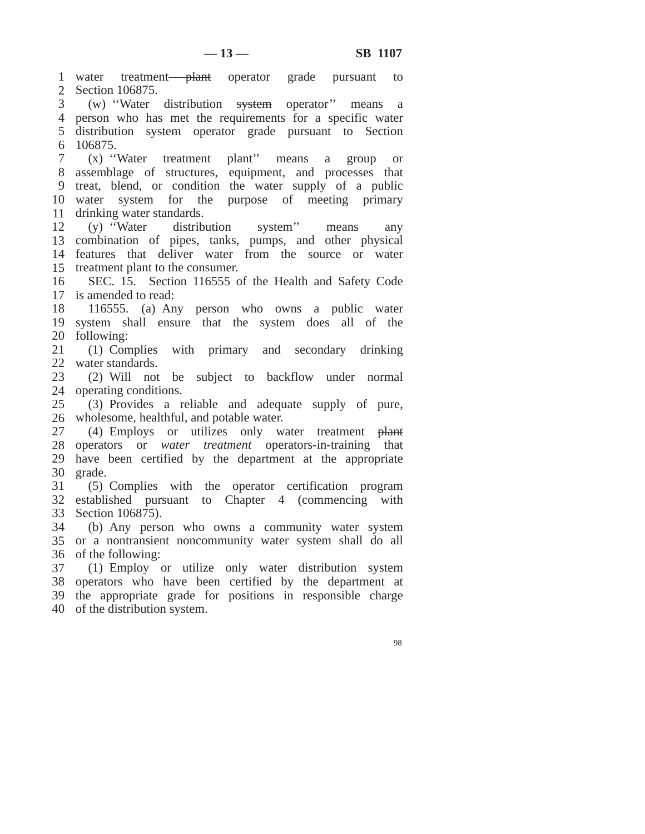1 water treatment-plant operator grade pursuant to Section 106875. 3 (w) "Water distribution <del>system</del> operator" means a person who has met the requirements for a specific water 5 distribution system operator grade pursuant to Section 106875. assemblage of structures, equipment, and processes that treat, blend, or condition the water supply of a public water system for the purpose of meeting primary drinking water standards. combination of pipes, tanks, pumps, and other physical features that deliver water from the source or water treatment plant to the consumer. is amended to read: system shall ensure that the system does all of the following: water standards. operating conditions. wholesome, healthful, and potable water. 27 (4) Employs or utilizes only water treatment plant operators or *water treatment* operators-in-training that have been certified by the department at the appropriate grade. established pursuant to Chapter 4 (commencing with Section 106875). or a nontransient noncommunity water system shall do all of the following: (1) Employ or utilize only water distribution system operators who have been certified by the department at the appropriate grade for positions in responsible charge of the distribution system.(x) ''Water treatment plant'' means a group or (y) ''Water distribution system'' means any SEC. 15. Section 116555 of the Health and Safety Code 116555. (a) Any person who owns a public water (1) Complies with primary and secondary drinking (2) Will not be subject to backflow under normal (3) Provides a reliable and adequate supply of pure, (5) Complies with the operator certification program (b) Any person who owns a community water system